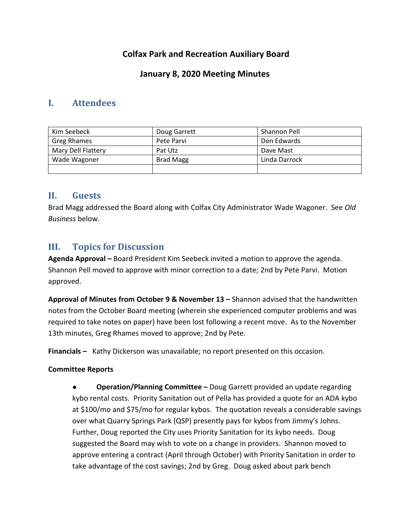# **Colfax Park and Recreation Auxiliary Board**

## **January 8, 2020 Meeting Minutes**

## **I. Attendees**

| Kim Seebeck        | Doug Garrett     | Shannon Pell  |
|--------------------|------------------|---------------|
| Greg Rhames        | Pete Parvi       | Don Edwards   |
| Mary Dell Flattery | Pat Utz          | Dave Mast     |
| Wade Wagoner       | <b>Brad Magg</b> | Linda Darrock |
|                    |                  |               |

## **II. Guests**

Brad Magg addressed the Board along with Colfax City Administrator Wade Wagoner. See *Old Business* below.

# **III. Topics for Discussion**

**Agenda Approval –** Board President Kim Seebeck invited a motion to approve the agenda. Shannon Pell moved to approve with minor correction to a date; 2nd by Pete Parvi. Motion approved.

**Approval of Minutes from October 9 & November 13 –** Shannon advised that the handwritten notes from the October Board meeting (wherein she experienced computer problems and was required to take notes on paper) have been lost following a recent move. As to the November 13th minutes, Greg Rhames moved to approve; 2nd by Pete.

**Financials –** Kathy Dickerson was unavailable; no report presented on this occasion.

### **Committee Reports**

● **Operation/Planning Committee –** Doug Garrett provided an update regarding kybo rental costs. Priority Sanitation out of Pella has provided a quote for an ADA kybo at \$100/mo and \$75/mo for regular kybos. The quotation reveals a considerable savings over what Quarry Springs Park (QSP) presently pays for kybos from Jimmy's Johns. Further, Doug reported the City uses Priority Sanitation for its kybo needs. Doug suggested the Board may wish to vote on a change in providers. Shannon moved to approve entering a contract (April through October) with Priority Sanitation in order to take advantage of the cost savings; 2nd by Greg. Doug asked about park bench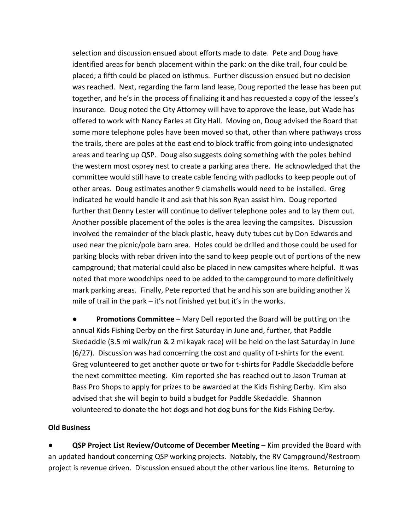selection and discussion ensued about efforts made to date. Pete and Doug have identified areas for bench placement within the park: on the dike trail, four could be placed; a fifth could be placed on isthmus. Further discussion ensued but no decision was reached. Next, regarding the farm land lease, Doug reported the lease has been put together, and he's in the process of finalizing it and has requested a copy of the lessee's insurance. Doug noted the City Attorney will have to approve the lease, but Wade has offered to work with Nancy Earles at City Hall. Moving on, Doug advised the Board that some more telephone poles have been moved so that, other than where pathways cross the trails, there are poles at the east end to block traffic from going into undesignated areas and tearing up QSP. Doug also suggests doing something with the poles behind the western most osprey nest to create a parking area there. He acknowledged that the committee would still have to create cable fencing with padlocks to keep people out of other areas. Doug estimates another 9 clamshells would need to be installed. Greg indicated he would handle it and ask that his son Ryan assist him. Doug reported further that Denny Lester will continue to deliver telephone poles and to lay them out. Another possible placement of the poles is the area leaving the campsites. Discussion involved the remainder of the black plastic, heavy duty tubes cut by Don Edwards and used near the picnic/pole barn area. Holes could be drilled and those could be used for parking blocks with rebar driven into the sand to keep people out of portions of the new campground; that material could also be placed in new campsites where helpful. It was noted that more woodchips need to be added to the campground to more definitively mark parking areas. Finally, Pete reported that he and his son are building another  $\frac{1}{2}$ mile of trail in the park – it's not finished yet but it's in the works.

● **Promotions Committee** – Mary Dell reported the Board will be putting on the annual Kids Fishing Derby on the first Saturday in June and, further, that Paddle Skedaddle (3.5 mi walk/run & 2 mi kayak race) will be held on the last Saturday in June (6/27). Discussion was had concerning the cost and quality of t-shirts for the event. Greg volunteered to get another quote or two for t-shirts for Paddle Skedaddle before the next committee meeting. Kim reported she has reached out to Jason Truman at Bass Pro Shops to apply for prizes to be awarded at the Kids Fishing Derby. Kim also advised that she will begin to build a budget for Paddle Skedaddle. Shannon volunteered to donate the hot dogs and hot dog buns for the Kids Fishing Derby.

#### **Old Business**

**QSP Project List Review/Outcome of December Meeting – Kim provided the Board with** an updated handout concerning QSP working projects. Notably, the RV Campground/Restroom project is revenue driven. Discussion ensued about the other various line items. Returning to